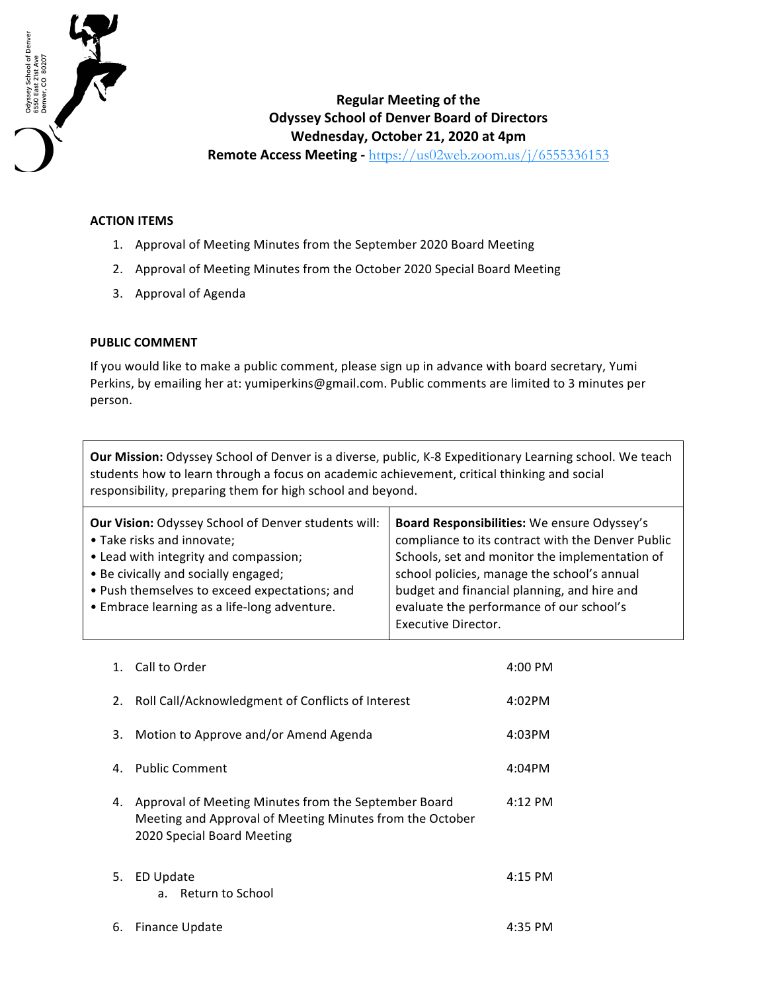

## **Regular Meeting of the Odyssey School of Denver Board of Directors Wednesday, October 21, 2020 at 4pm**

**Remote Access Meeting** - https://us02web.zoom.us/j/6555336153

## **ACTION ITEMS**

- 1. Approval of Meeting Minutes from the September 2020 Board Meeting
- 2. Approval of Meeting Minutes from the October 2020 Special Board Meeting
- 3. Approval of Agenda

## **PUBLIC COMMENT**

If you would like to make a public comment, please sign up in advance with board secretary, Yumi Perkins, by emailing her at: yumiperkins@gmail.com. Public comments are limited to 3 minutes per person.

**Our Mission:** Odyssey School of Denver is a diverse, public, K-8 Expeditionary Learning school. We teach students how to learn through a focus on academic achievement, critical thinking and social responsibility, preparing them for high school and beyond.

| Board Responsibilities: We ensure Odyssey's       |
|---------------------------------------------------|
| compliance to its contract with the Denver Public |
| Schools, set and monitor the implementation of    |
| school policies, manage the school's annual       |
| budget and financial planning, and hire and       |
| evaluate the performance of our school's          |
| <b>Executive Director.</b>                        |
|                                                   |

| 1. | Call to Order                                                                                                                                  | $4:00$ PM |
|----|------------------------------------------------------------------------------------------------------------------------------------------------|-----------|
| 2. | Roll Call/Acknowledgment of Conflicts of Interest                                                                                              | 4:02PM    |
| 3. | Motion to Approve and/or Amend Agenda                                                                                                          | 4:03PM    |
| 4. | <b>Public Comment</b>                                                                                                                          | 4:04PM    |
| 4. | Approval of Meeting Minutes from the September Board<br>Meeting and Approval of Meeting Minutes from the October<br>2020 Special Board Meeting | $4:12$ PM |
| 5. | <b>ED Update</b><br>Return to School<br>a.                                                                                                     | $4:15$ PM |
| 6. | Finance Update                                                                                                                                 | 4:35 PM   |